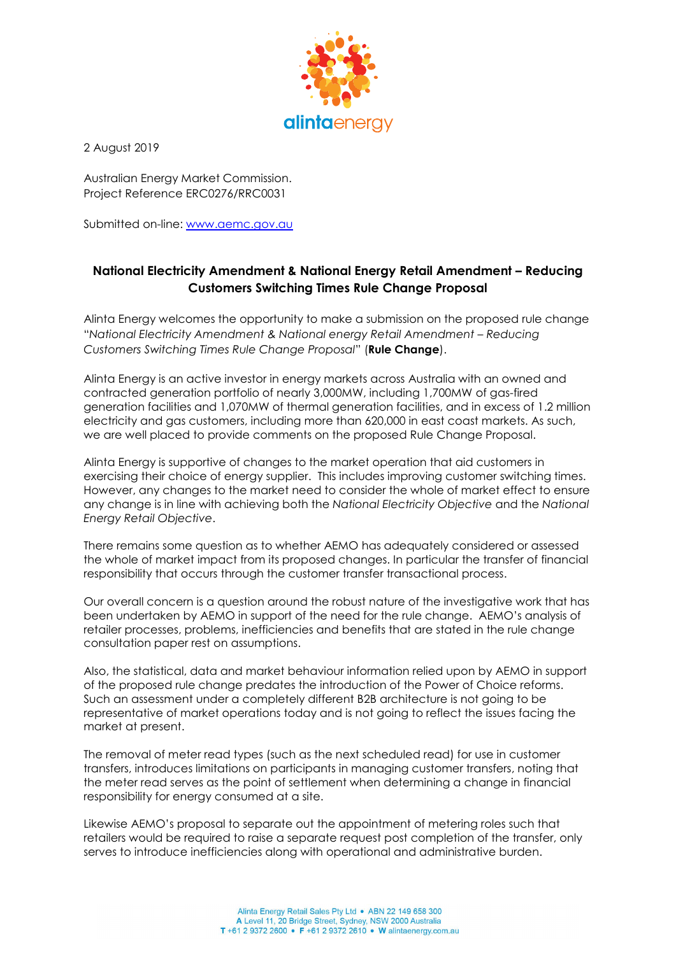

2 August 2019

Australian Energy Market Commission. Project Reference ERC0276/RRC0031

Submitted on-line: www.aemc.gov.au

# National Electricity Amendment & National Energy Retail Amendment – Reducing Customers Switching Times Rule Change Proposal

Alinta Energy welcomes the opportunity to make a submission on the proposed rule change "National Electricity Amendment & National energy Retail Amendment – Reducing Customers Switching Times Rule Change Proposal" (Rule Change).

Alinta Energy is an active investor in energy markets across Australia with an owned and contracted generation portfolio of nearly 3,000MW, including 1,700MW of gas-fired generation facilities and 1,070MW of thermal generation facilities, and in excess of 1.2 million electricity and gas customers, including more than 620,000 in east coast markets. As such, we are well placed to provide comments on the proposed Rule Change Proposal.

Alinta Energy is supportive of changes to the market operation that aid customers in exercising their choice of energy supplier. This includes improving customer switching times. However, any changes to the market need to consider the whole of market effect to ensure any change is in line with achieving both the National Electricity Objective and the National Energy Retail Objective.

There remains some question as to whether AEMO has adequately considered or assessed the whole of market impact from its proposed changes. In particular the transfer of financial responsibility that occurs through the customer transfer transactional process.

Our overall concern is a question around the robust nature of the investigative work that has been undertaken by AEMO in support of the need for the rule change. AEMO's analysis of retailer processes, problems, inefficiencies and benefits that are stated in the rule change consultation paper rest on assumptions.

Also, the statistical, data and market behaviour information relied upon by AEMO in support of the proposed rule change predates the introduction of the Power of Choice reforms. Such an assessment under a completely different B2B architecture is not going to be representative of market operations today and is not going to reflect the issues facing the market at present.

The removal of meter read types (such as the next scheduled read) for use in customer transfers, introduces limitations on participants in managing customer transfers, noting that the meter read serves as the point of settlement when determining a change in financial responsibility for energy consumed at a site.

Likewise AEMO's proposal to separate out the appointment of metering roles such that retailers would be required to raise a separate request post completion of the transfer, only serves to introduce inefficiencies along with operational and administrative burden.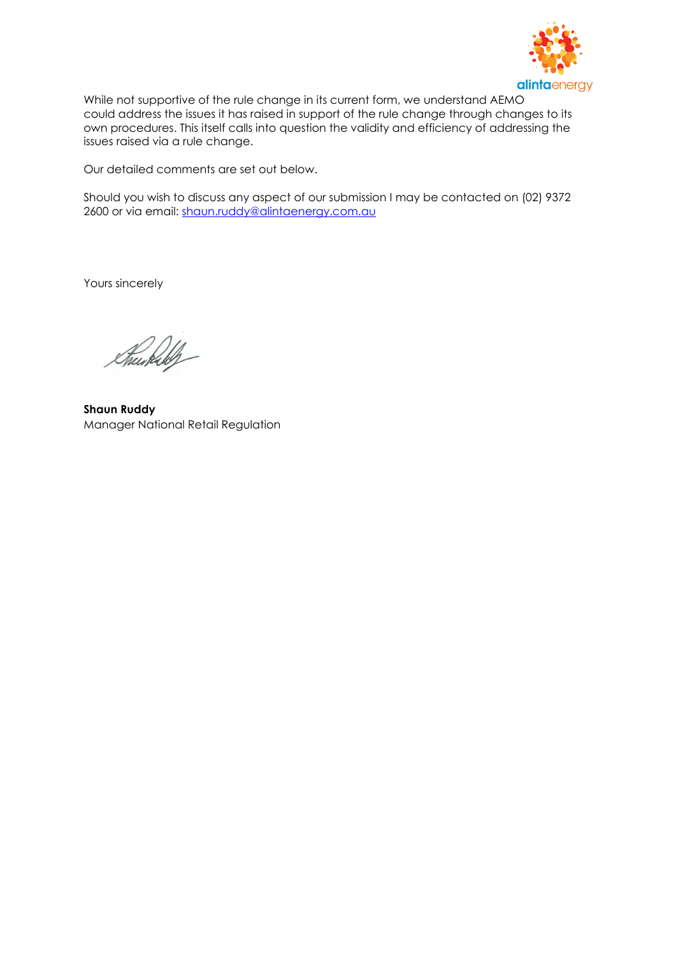

While not supportive of the rule change in its current form, we understand AEMO could address the issues it has raised in support of the rule change through changes to its own procedures. This itself calls into question the validity and efficiency of addressing the issues raised via a rule change.

Our detailed comments are set out below.

Should you wish to discuss any aspect of our submission I may be contacted on (02) 9372 2600 or via email: shaun.ruddy@alintaenergy.com.au

Yours sincerely

Sheerkilly

Shaun Ruddy Manager National Retail Regulation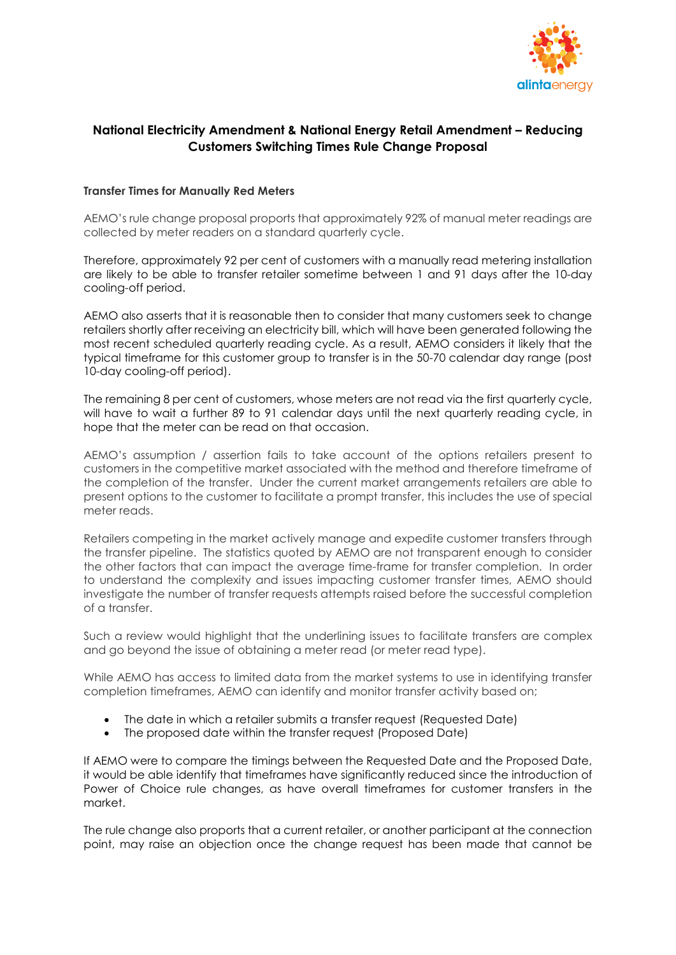

# National Electricity Amendment & National Energy Retail Amendment – Reducing Customers Switching Times Rule Change Proposal

### Transfer Times for Manually Red Meters

AEMO's rule change proposal proports that approximately 92% of manual meter readings are collected by meter readers on a standard quarterly cycle.

Therefore, approximately 92 per cent of customers with a manually read metering installation are likely to be able to transfer retailer sometime between 1 and 91 days after the 10-day cooling-off period.

AEMO also asserts that it is reasonable then to consider that many customers seek to change retailers shortly after receiving an electricity bill, which will have been generated following the most recent scheduled quarterly reading cycle. As a result, AEMO considers it likely that the typical timeframe for this customer group to transfer is in the 50-70 calendar day range (post 10-day cooling-off period).

The remaining 8 per cent of customers, whose meters are not read via the first quarterly cycle, will have to wait a further 89 to 91 calendar days until the next quarterly reading cycle, in hope that the meter can be read on that occasion.

AEMO's assumption / assertion fails to take account of the options retailers present to customers in the competitive market associated with the method and therefore timeframe of the completion of the transfer. Under the current market arrangements retailers are able to present options to the customer to facilitate a prompt transfer, this includes the use of special meter reads.

Retailers competing in the market actively manage and expedite customer transfers through the transfer pipeline. The statistics quoted by AEMO are not transparent enough to consider the other factors that can impact the average time-frame for transfer completion. In order to understand the complexity and issues impacting customer transfer times, AEMO should investigate the number of transfer requests attempts raised before the successful completion of a transfer.

Such a review would highlight that the underlining issues to facilitate transfers are complex and go beyond the issue of obtaining a meter read (or meter read type).

While AEMO has access to limited data from the market systems to use in identifying transfer completion timeframes, AEMO can identify and monitor transfer activity based on;

- The date in which a retailer submits a transfer request (Requested Date)
- The proposed date within the transfer request (Proposed Date)

If AEMO were to compare the timings between the Requested Date and the Proposed Date, it would be able identify that timeframes have significantly reduced since the introduction of Power of Choice rule changes, as have overall timeframes for customer transfers in the market.

The rule change also proports that a current retailer, or another participant at the connection point, may raise an objection once the change request has been made that cannot be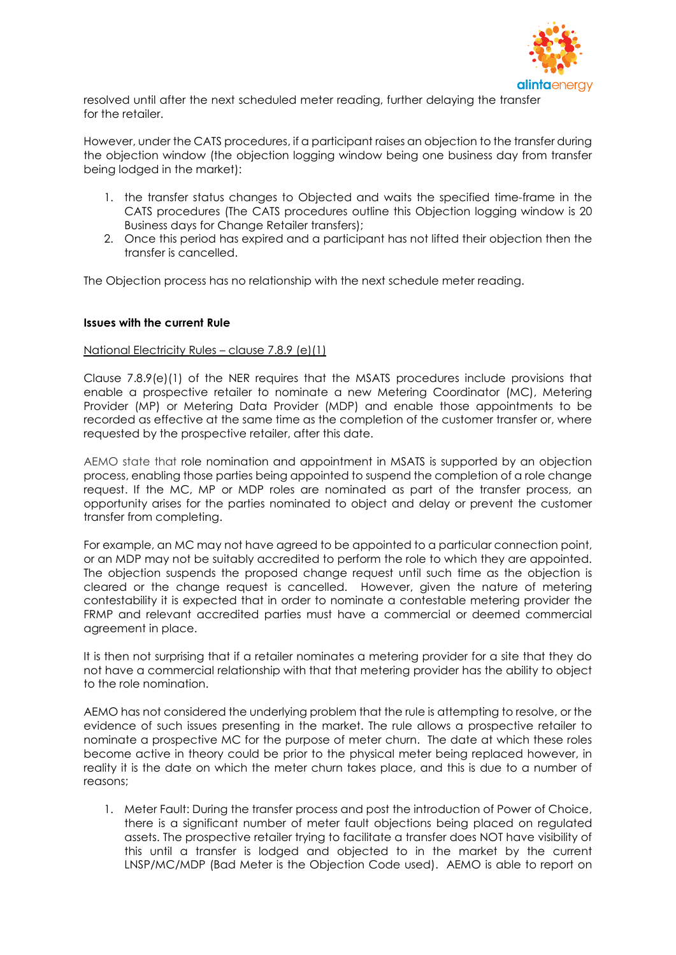

resolved until after the next scheduled meter reading, further delaying the transfer for the retailer.

However, under the CATS procedures, if a participant raises an objection to the transfer during the objection window (the objection logging window being one business day from transfer being lodged in the market):

- 1. the transfer status changes to Objected and waits the specified time-frame in the CATS procedures (The CATS procedures outline this Objection logging window is 20 Business days for Change Retailer transfers);
- 2. Once this period has expired and a participant has not lifted their objection then the transfer is cancelled.

The Objection process has no relationship with the next schedule meter reading.

#### Issues with the current Rule

#### National Electricity Rules – clause 7.8.9 (e)(1)

Clause 7.8.9(e)(1) of the NER requires that the MSATS procedures include provisions that enable a prospective retailer to nominate a new Metering Coordinator (MC), Metering Provider (MP) or Metering Data Provider (MDP) and enable those appointments to be recorded as effective at the same time as the completion of the customer transfer or, where requested by the prospective retailer, after this date.

AEMO state that role nomination and appointment in MSATS is supported by an objection process, enabling those parties being appointed to suspend the completion of a role change request. If the MC, MP or MDP roles are nominated as part of the transfer process, an opportunity arises for the parties nominated to object and delay or prevent the customer transfer from completing.

For example, an MC may not have agreed to be appointed to a particular connection point, or an MDP may not be suitably accredited to perform the role to which they are appointed. The objection suspends the proposed change request until such time as the objection is cleared or the change request is cancelled. However, given the nature of metering contestability it is expected that in order to nominate a contestable metering provider the FRMP and relevant accredited parties must have a commercial or deemed commercial agreement in place.

It is then not surprising that if a retailer nominates a metering provider for a site that they do not have a commercial relationship with that that metering provider has the ability to object to the role nomination.

AEMO has not considered the underlying problem that the rule is attempting to resolve, or the evidence of such issues presenting in the market. The rule allows a prospective retailer to nominate a prospective MC for the purpose of meter churn. The date at which these roles become active in theory could be prior to the physical meter being replaced however, in reality it is the date on which the meter churn takes place, and this is due to a number of reasons;

1. Meter Fault: During the transfer process and post the introduction of Power of Choice, there is a significant number of meter fault objections being placed on regulated assets. The prospective retailer trying to facilitate a transfer does NOT have visibility of this until a transfer is lodged and objected to in the market by the current LNSP/MC/MDP (Bad Meter is the Objection Code used). AEMO is able to report on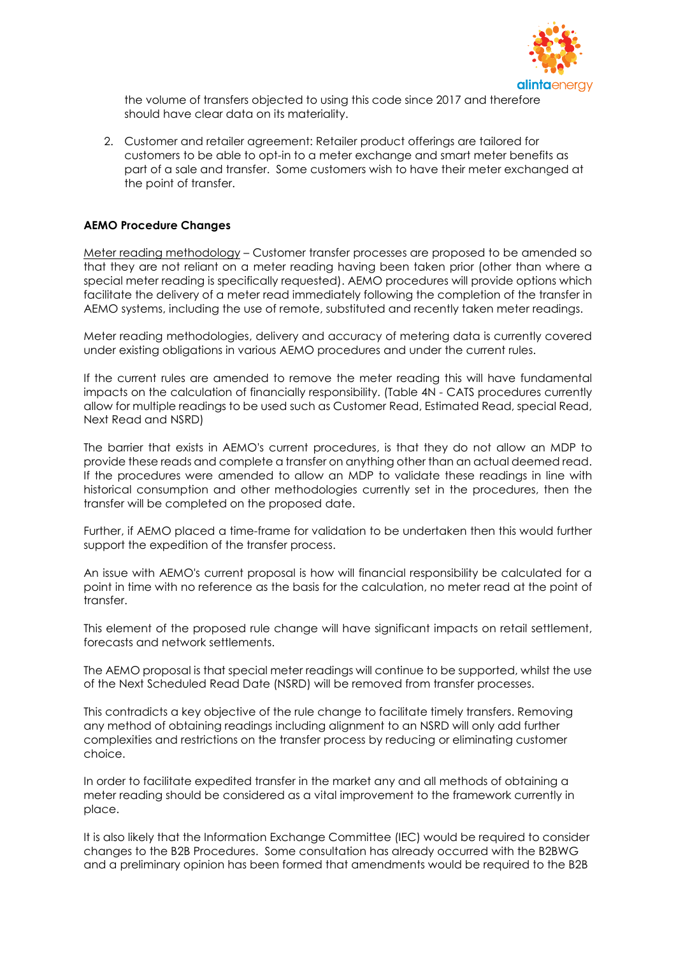

the volume of transfers objected to using this code since 2017 and therefore should have clear data on its materiality.

2. Customer and retailer agreement: Retailer product offerings are tailored for customers to be able to opt-in to a meter exchange and smart meter benefits as part of a sale and transfer. Some customers wish to have their meter exchanged at the point of transfer.

#### AEMO Procedure Changes

Meter reading methodology – Customer transfer processes are proposed to be amended so that they are not reliant on a meter reading having been taken prior (other than where a special meter reading is specifically requested). AEMO procedures will provide options which facilitate the delivery of a meter read immediately following the completion of the transfer in AEMO systems, including the use of remote, substituted and recently taken meter readings.

Meter reading methodologies, delivery and accuracy of metering data is currently covered under existing obligations in various AEMO procedures and under the current rules.

If the current rules are amended to remove the meter reading this will have fundamental impacts on the calculation of financially responsibility. (Table 4N - CATS procedures currently allow for multiple readings to be used such as Customer Read, Estimated Read, special Read, Next Read and NSRD)

The barrier that exists in AEMO's current procedures, is that they do not allow an MDP to provide these reads and complete a transfer on anything other than an actual deemed read. If the procedures were amended to allow an MDP to validate these readings in line with historical consumption and other methodologies currently set in the procedures, then the transfer will be completed on the proposed date.

Further, if AEMO placed a time-frame for validation to be undertaken then this would further support the expedition of the transfer process.

An issue with AEMO's current proposal is how will financial responsibility be calculated for a point in time with no reference as the basis for the calculation, no meter read at the point of transfer.

This element of the proposed rule change will have significant impacts on retail settlement, forecasts and network settlements.

The AEMO proposal is that special meter readings will continue to be supported, whilst the use of the Next Scheduled Read Date (NSRD) will be removed from transfer processes.

This contradicts a key objective of the rule change to facilitate timely transfers. Removing any method of obtaining readings including alignment to an NSRD will only add further complexities and restrictions on the transfer process by reducing or eliminating customer choice.

In order to facilitate expedited transfer in the market any and all methods of obtaining a meter reading should be considered as a vital improvement to the framework currently in place.

It is also likely that the Information Exchange Committee (IEC) would be required to consider changes to the B2B Procedures. Some consultation has already occurred with the B2BWG and a preliminary opinion has been formed that amendments would be required to the B2B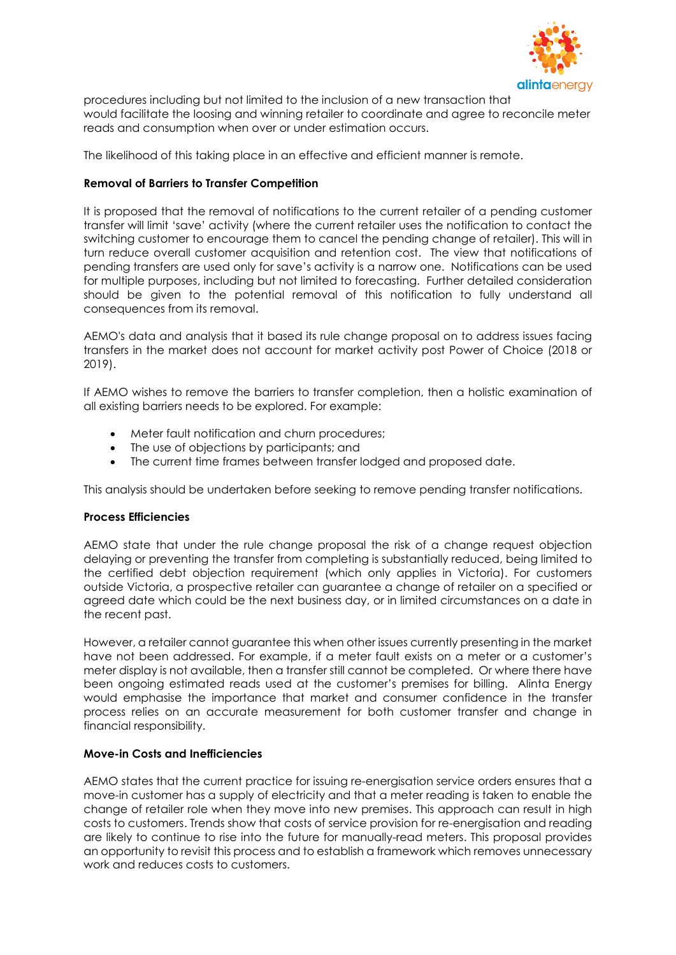

procedures including but not limited to the inclusion of a new transaction that would facilitate the loosing and winning retailer to coordinate and agree to reconcile meter reads and consumption when over or under estimation occurs.

The likelihood of this taking place in an effective and efficient manner is remote.

## Removal of Barriers to Transfer Competition

It is proposed that the removal of notifications to the current retailer of a pending customer transfer will limit 'save' activity (where the current retailer uses the notification to contact the switching customer to encourage them to cancel the pending change of retailer). This will in turn reduce overall customer acquisition and retention cost. The view that notifications of pending transfers are used only for save's activity is a narrow one. Notifications can be used for multiple purposes, including but not limited to forecasting. Further detailed consideration should be given to the potential removal of this notification to fully understand all consequences from its removal.

AEMO's data and analysis that it based its rule change proposal on to address issues facing transfers in the market does not account for market activity post Power of Choice (2018 or 2019).

If AEMO wishes to remove the barriers to transfer completion, then a holistic examination of all existing barriers needs to be explored. For example:

- Meter fault notification and churn procedures;
- The use of objections by participants; and
- The current time frames between transfer lodged and proposed date.

This analysis should be undertaken before seeking to remove pending transfer notifications.

### Process Efficiencies

AEMO state that under the rule change proposal the risk of a change request objection delaying or preventing the transfer from completing is substantially reduced, being limited to the certified debt objection requirement (which only applies in Victoria). For customers outside Victoria, a prospective retailer can guarantee a change of retailer on a specified or agreed date which could be the next business day, or in limited circumstances on a date in the recent past.

However, a retailer cannot guarantee this when other issues currently presenting in the market have not been addressed. For example, if a meter fault exists on a meter or a customer's meter display is not available, then a transfer still cannot be completed. Or where there have been ongoing estimated reads used at the customer's premises for billing. Alinta Energy would emphasise the importance that market and consumer confidence in the transfer process relies on an accurate measurement for both customer transfer and change in financial responsibility.

# Move-in Costs and Inefficiencies

AEMO states that the current practice for issuing re-energisation service orders ensures that a move-in customer has a supply of electricity and that a meter reading is taken to enable the change of retailer role when they move into new premises. This approach can result in high costs to customers. Trends show that costs of service provision for re-energisation and reading are likely to continue to rise into the future for manually-read meters. This proposal provides an opportunity to revisit this process and to establish a framework which removes unnecessary work and reduces costs to customers.